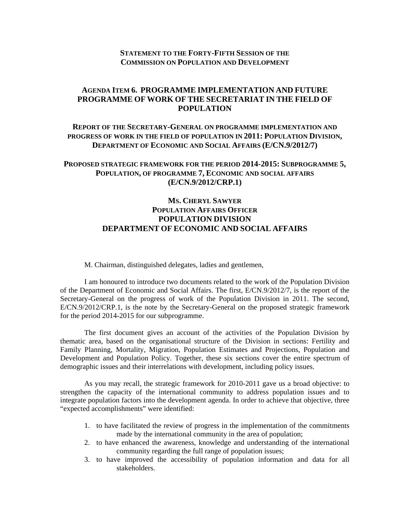### **STATEMENT TO THE FORTY-FIFTH SESSION OF THE COMMISSION ON POPULATION AND DEVELOPMENT**

## **AGENDA ITEM 6. PROGRAMME IMPLEMENTATION AND FUTURE PROGRAMME OF WORK OF THE SECRETARIAT IN THE FIELD OF POPULATION**

## **REPORT OF THE SECRETARY-GENERAL ON PROGRAMME IMPLEMENTATION AND PROGRESS OF WORK IN THE FIELD OF POPULATION IN 2011: POPULATION DIVISION, DEPARTMENT OF ECONOMIC AND SOCIAL AFFAIRS (E/CN.9/2012/7)**

### **PROPOSED STRATEGIC FRAMEWORK FOR THE PERIOD 2014-2015: SUBPROGRAMME 5, POPULATION, OF PROGRAMME 7, ECONOMIC AND SOCIAL AFFAIRS (E/CN.9/2012/CRP.1)**

# **MS. CHERYL SAWYER POPULATION AFFAIRS OFFICER POPULATION DIVISION DEPARTMENT OF ECONOMIC AND SOCIAL AFFAIRS**

M. Chairman, distinguished delegates, ladies and gentlemen,

I am honoured to introduce two documents related to the work of the Population Division of the Department of Economic and Social Affairs. The first, E/CN.9/2012/7, is the report of the Secretary-General on the progress of work of the Population Division in 2011. The second, E/CN.9/2012/CRP.1, is the note by the Secretary-General on the proposed strategic framework for the period 2014-2015 for our subprogramme.

The first document gives an account of the activities of the Population Division by thematic area, based on the organisational structure of the Division in sections: Fertility and Family Planning, Mortality, Migration, Population Estimates and Projections, Population and Development and Population Policy. Together, these six sections cover the entire spectrum of demographic issues and their interrelations with development, including policy issues.

As you may recall, the strategic framework for 2010-2011 gave us a broad objective: to strengthen the capacity of the international community to address population issues and to integrate population factors into the development agenda. In order to achieve that objective, three "expected accomplishments" were identified:

- 1. to have facilitated the review of progress in the implementation of the commitments made by the international community in the area of population;
- 2. to have enhanced the awareness, knowledge and understanding of the international community regarding the full range of population issues;
- 3. to have improved the accessibility of population information and data for all stakeholders.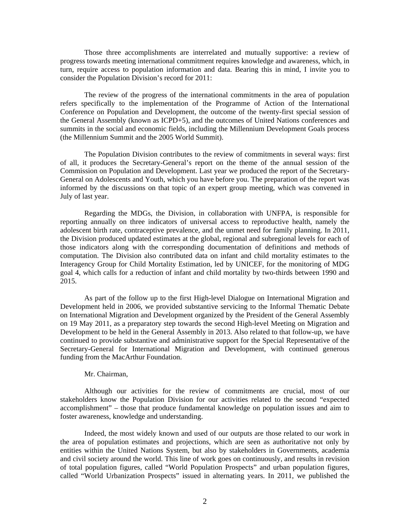Those three accomplishments are interrelated and mutually supportive: a review of progress towards meeting international commitment requires knowledge and awareness, which, in turn, require access to population information and data. Bearing this in mind, I invite you to consider the Population Division's record for 2011:

The review of the progress of the international commitments in the area of population refers specifically to the implementation of the Programme of Action of the International Conference on Population and Development, the outcome of the twenty-first special session of the General Assembly (known as ICPD+5), and the outcomes of United Nations conferences and summits in the social and economic fields, including the Millennium Development Goals process (the Millennium Summit and the 2005 World Summit).

The Population Division contributes to the review of commitments in several ways: first of all, it produces the Secretary-General's report on the theme of the annual session of the Commission on Population and Development. Last year we produced the report of the Secretary-General on Adolescents and Youth, which you have before you. The preparation of the report was informed by the discussions on that topic of an expert group meeting, which was convened in July of last year.

Regarding the MDGs, the Division, in collaboration with UNFPA, is responsible for reporting annually on three indicators of universal access to reproductive health, namely the adolescent birth rate, contraceptive prevalence, and the unmet need for family planning. In 2011, the Division produced updated estimates at the global, regional and subregional levels for each of those indicators along with the corresponding documentation of definitions and methods of computation. The Division also contributed data on infant and child mortality estimates to the Interagency Group for Child Mortality Estimation, led by UNICEF, for the monitoring of MDG goal 4, which calls for a reduction of infant and child mortality by two-thirds between 1990 and 2015.

As part of the follow up to the first High-level Dialogue on International Migration and Development held in 2006, we provided substantive servicing to the Informal Thematic Debate on International Migration and Development organized by the President of the General Assembly on 19 May 2011, as a preparatory step towards the second High-level Meeting on Migration and Development to be held in the General Assembly in 2013. Also related to that follow-up, we have continued to provide substantive and administrative support for the Special Representative of the Secretary-General for International Migration and Development, with continued generous funding from the MacArthur Foundation.

#### Mr. Chairman,

Although our activities for the review of commitments are crucial, most of our stakeholders know the Population Division for our activities related to the second "expected accomplishment" – those that produce fundamental knowledge on population issues and aim to foster awareness, knowledge and understanding.

Indeed, the most widely known and used of our outputs are those related to our work in the area of population estimates and projections, which are seen as authoritative not only by entities within the United Nations System, but also by stakeholders in Governments, academia and civil society around the world. This line of work goes on continuously, and results in revision of total population figures, called "World Population Prospects" and urban population figures, called "World Urbanization Prospects" issued in alternating years. In 2011, we published the